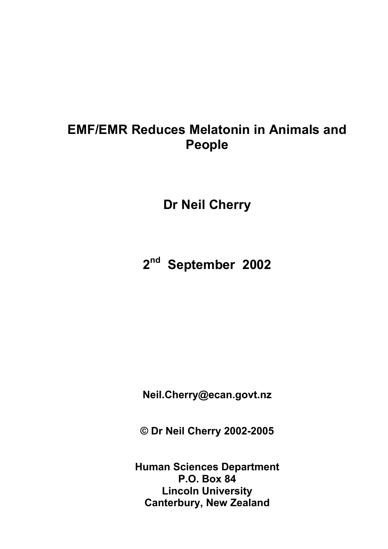# **EMF/EMR Reduces Melatonin in Animals and People**

**Dr Neil Cherry** 

**2nd September 2002** 

**Neil.Cherry@ecan.govt.nz** 

**© Dr Neil Cherry 2002-2005** 

**Human Sciences Department P.O. Box 84 Lincoln University Canterbury, New Zealand**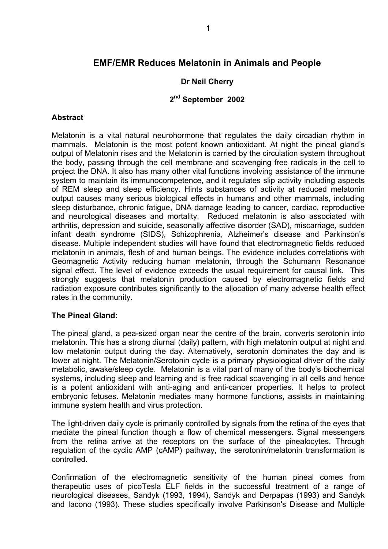## **EMF/EMR Reduces Melatonin in Animals and People**

## **Dr Neil Cherry**

### **2nd September 2002**

#### **Abstract**

Melatonin is a vital natural neurohormone that regulates the daily circadian rhythm in mammals. Melatonin is the most potent known antioxidant. At night the pineal gland's output of Melatonin rises and the Melatonin is carried by the circulation system throughout the body, passing through the cell membrane and scavenging free radicals in the cell to project the DNA. It also has many other vital functions involving assistance of the immune system to maintain its immunocompetence, and it regulates slip activity including aspects of REM sleep and sleep efficiency. Hints substances of activity at reduced melatonin output causes many serious biological effects in humans and other mammals, including sleep disturbance, chronic fatigue, DNA damage leading to cancer, cardiac, reproductive and neurological diseases and mortality. Reduced melatonin is also associated with arthritis, depression and suicide, seasonally affective disorder (SAD), miscarriage, sudden infant death syndrome (SIDS), Schizophrenia, Alzheimer's disease and Parkinson's disease. Multiple independent studies will have found that electromagnetic fields reduced melatonin in animals, flesh of and human beings. The evidence includes correlations with Geomagnetic Activity reducing human melatonin, through the Schumann Resonance signal effect. The level of evidence exceeds the usual requirement for causal link. This strongly suggests that melatonin production caused by electromagnetic fields and radiation exposure contributes significantly to the allocation of many adverse health effect rates in the community.

#### **The Pineal Gland:**

The pineal gland, a pea-sized organ near the centre of the brain, converts serotonin into melatonin. This has a strong diurnal (daily) pattern, with high melatonin output at night and low melatonin output during the day. Alternatively, serotonin dominates the day and is lower at night. The Melatonin/Serotonin cycle is a primary physiological driver of the daily metabolic, awake/sleep cycle. Melatonin is a vital part of many of the body's biochemical systems, including sleep and learning and is free radical scavenging in all cells and hence is a potent antioxidant with anti-aging and anti-cancer properties. It helps to protect embryonic fetuses. Melatonin mediates many hormone functions, assists in maintaining immune system health and virus protection.

The light-driven daily cycle is primarily controlled by signals from the retina of the eyes that mediate the pineal function though a flow of chemical messengers. Signal messengers from the retina arrive at the receptors on the surface of the pinealocytes. Through regulation of the cyclic AMP (cAMP) pathway, the serotonin/melatonin transformation is controlled.

Confirmation of the electromagnetic sensitivity of the human pineal comes from therapeutic uses of picoTesla ELF fields in the successful treatment of a range of neurological diseases, Sandyk (1993, 1994), Sandyk and Derpapas (1993) and Sandyk and Iacono (1993). These studies specifically involve Parkinson's Disease and Multiple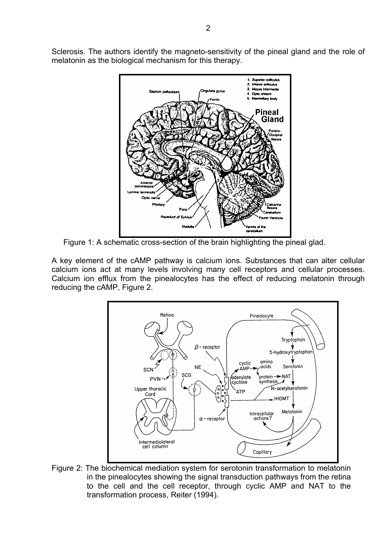Sclerosis. The authors identify the magneto-sensitivity of the pineal gland and the role of melatonin as the biological mechanism for this therapy.



Figure 1: A schematic cross-section of the brain highlighting the pineal glad.

A key element of the cAMP pathway is calcium ions. Substances that can alter cellular calcium ions act at many levels involving many cell receptors and cellular processes. Calcium ion efflux from the pinealocytes has the effect of reducing melatonin through reducing the cAMP, Figure 2.



Figure 2: The biochemical mediation system for serotonin transformation to melatonin in the pinealocytes showing the signal transduction pathways from the retina to the cell and the cell receptor, through cyclic AMP and NAT to the transformation process, Reiter (1994).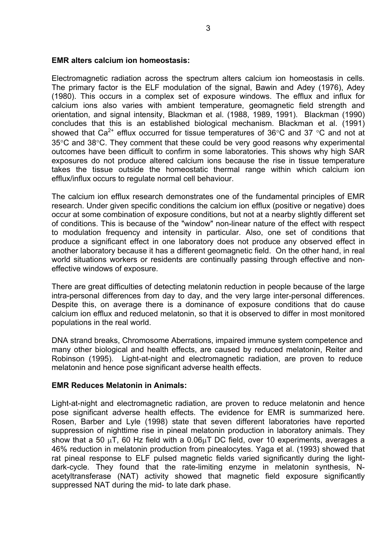#### **EMR alters calcium ion homeostasis:**

Electromagnetic radiation across the spectrum alters calcium ion homeostasis in cells. The primary factor is the ELF modulation of the signal, Bawin and Adey (1976), Adey (1980). This occurs in a complex set of exposure windows. The efflux and influx for calcium ions also varies with ambient temperature, geomagnetic field strength and orientation, and signal intensity, Blackman et al. (1988, 1989, 1991). Blackman (1990) concludes that this is an established biological mechanism. Blackman et al. (1991) showed that Ca<sup>2+</sup> efflux occurred for tissue temperatures of 36°C and 37 °C and not at 35°C and 38°C. They comment that these could be very good reasons why experimental outcomes have been difficult to confirm in some laboratories. This shows why high SAR exposures do not produce altered calcium ions because the rise in tissue temperature takes the tissue outside the homeostatic thermal range within which calcium ion efflux/influx occurs to regulate normal cell behaviour.

The calcium ion efflux research demonstrates one of the fundamental principles of EMR research. Under given specific conditions the calcium ion efflux (positive or negative) does occur at some combination of exposure conditions, but not at a nearby slightly different set of conditions. This is because of the "window" non-linear nature of the effect with respect to modulation frequency and intensity in particular. Also, one set of conditions that produce a significant effect in one laboratory does not produce any observed effect in another laboratory because it has a different geomagnetic field. On the other hand, in real world situations workers or residents are continually passing through effective and noneffective windows of exposure.

There are great difficulties of detecting melatonin reduction in people because of the large intra-personal differences from day to day, and the very large inter-personal differences. Despite this, on average there is a dominance of exposure conditions that do cause calcium ion efflux and reduced melatonin, so that it is observed to differ in most monitored populations in the real world.

DNA strand breaks, Chromosome Aberrations, impaired immune system competence and many other biological and health effects, are caused by reduced melatonin, Reiter and Robinson (1995). Light-at-night and electromagnetic radiation, are proven to reduce melatonin and hence pose significant adverse health effects.

#### **EMR Reduces Melatonin in Animals:**

Light-at-night and electromagnetic radiation, are proven to reduce melatonin and hence pose significant adverse health effects. The evidence for EMR is summarized here. Rosen, Barber and Lyle (1998) state that seven different laboratories have reported suppression of nighttime rise in pineal melatonin production in laboratory animals. They show that a 50  $\mu$ T, 60 Hz field with a 0.06 $\mu$ T DC field, over 10 experiments, averages a 46% reduction in melatonin production from pinealocytes. Yaga et al. (1993) showed that rat pineal response to ELF pulsed magnetic fields varied significantly during the lightdark-cycle. They found that the rate-limiting enzyme in melatonin synthesis, Nacetyltransferase (NAT) activity showed that magnetic field exposure significantly suppressed NAT during the mid- to late dark phase.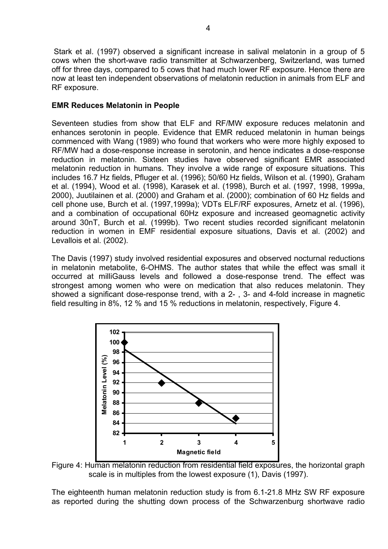Stark et al. (1997) observed a significant increase in salival melatonin in a group of 5 cows when the short-wave radio transmitter at Schwarzenberg, Switzerland, was turned off for three days, compared to 5 cows that had much lower RF exposure. Hence there are now at least ten independent observations of melatonin reduction in animals from ELF and RF exposure.

## **EMR Reduces Melatonin in People**

Seventeen studies from show that ELF and RF/MW exposure reduces melatonin and enhances serotonin in people. Evidence that EMR reduced melatonin in human beings commenced with Wang (1989) who found that workers who were more highly exposed to RF/MW had a dose-response increase in serotonin, and hence indicates a dose-response reduction in melatonin. Sixteen studies have observed significant EMR associated melatonin reduction in humans. They involve a wide range of exposure situations. This includes 16.7 Hz fields, Pfluger et al. (1996); 50/60 Hz fields, Wilson et al. (1990), Graham et al. (1994), Wood et al. (1998), Karasek et al. (1998), Burch et al. (1997, 1998, 1999a, 2000), Juutilainen et al. (2000) and Graham et al. (2000); combination of 60 Hz fields and cell phone use, Burch et al. (1997,1999a); VDTs ELF/RF exposures, Arnetz et al. (1996), and a combination of occupational 60Hz exposure and increased geomagnetic activity around 30nT, Burch et al. (1999b). Two recent studies recorded significant melatonin reduction in women in EMF residential exposure situations, Davis et al. (2002) and Levallois et al. (2002).

The Davis (1997) study involved residential exposures and observed nocturnal reductions in melatonin metabolite, 6-OHMS. The author states that while the effect was small it occurred at milliGauss levels and followed a dose-response trend. The effect was strongest among women who were on medication that also reduces melatonin. They showed a significant dose-response trend, with a 2- , 3- and 4-fold increase in magnetic field resulting in 8%, 12 % and 15 % reductions in melatonin, respectively, Figure 4.



Figure 4: Human melatonin reduction from residential field exposures, the horizontal graph scale is in multiples from the lowest exposure (1), Davis (1997).

The eighteenth human melatonin reduction study is from 6.1-21.8 MHz SW RF exposure as reported during the shutting down process of the Schwarzenburg shortwave radio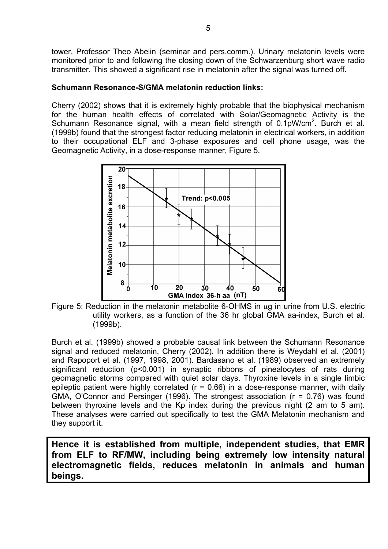tower, Professor Theo Abelin (seminar and pers.comm.). Urinary melatonin levels were monitored prior to and following the closing down of the Schwarzenburg short wave radio transmitter. This showed a significant rise in melatonin after the signal was turned off.

## **Schumann Resonance-S/GMA melatonin reduction links:**

Cherry (2002) shows that it is extremely highly probable that the biophysical mechanism for the human health effects of correlated with Solar/Geomagnetic Activity is the Schumann Resonance signal, with a mean field strength of  $0.1\text{pW/cm}^2$ . Burch et al. (1999b) found that the strongest factor reducing melatonin in electrical workers, in addition to their occupational ELF and 3-phase exposures and cell phone usage, was the Geomagnetic Activity, in a dose-response manner, Figure 5.



Figure 5: Reduction in the melatonin metabolite 6-OHMS in  $\mu$ g in urine from U.S. electric utility workers, as a function of the 36 hr global GMA aa-index, Burch et al. (1999b).

Burch et al. (1999b) showed a probable causal link between the Schumann Resonance signal and reduced melatonin, Cherry (2002). In addition there is Weydahl et al. (2001) and Rapoport et al. (1997, 1998, 2001). Bardasano et al. (1989) observed an extremely significant reduction (p<0.001) in synaptic ribbons of pinealocytes of rats during geomagnetic storms compared with quiet solar days. Thyroxine levels in a single limbic epileptic patient were highly correlated  $(r = 0.66)$  in a dose-response manner, with daily GMA, O'Connor and Persinger (1996). The strongest association ( $r = 0.76$ ) was found between thyroxine levels and the Kp index during the previous night (2 am to 5 am). These analyses were carried out specifically to test the GMA Melatonin mechanism and they support it.

**Hence it is established from multiple, independent studies, that EMR from ELF to RF/MW, including being extremely low intensity natural electromagnetic fields, reduces melatonin in animals and human beings.**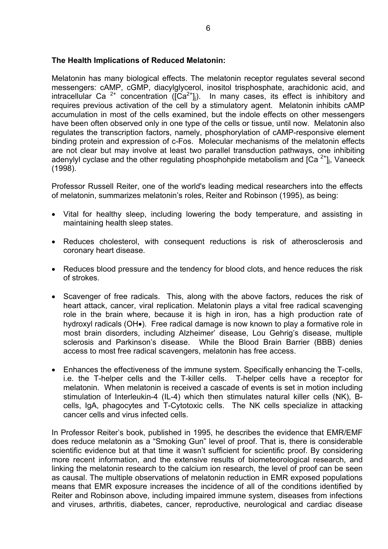## **The Health Implications of Reduced Melatonin:**

Melatonin has many biological effects. The melatonin receptor regulates several second messengers: cAMP, cGMP, diacylglycerol, inositol trisphosphate, arachidonic acid, and intracellular Ca  $2^+$  concentration ( $\vec{C}$ ca $2^+$ ]). In many cases, its effect is inhibitory and requires previous activation of the cell by a stimulatory agent. Melatonin inhibits cAMP accumulation in most of the cells examined, but the indole effects on other messengers have been often observed only in one type of the cells or tissue, until now. Melatonin also regulates the transcription factors, namely, phosphorylation of cAMP-responsive element binding protein and expression of c-Fos. Molecular mechanisms of the melatonin effects are not clear but may involve at least two parallel transduction pathways, one inhibiting adenylyl cyclase and the other regulating phosphohpide metabolism and  $[Ca<sup>2+</sup>]$ <sub>i</sub>, Vaneeck (1998).

Professor Russell Reiter, one of the world's leading medical researchers into the effects of melatonin, summarizes melatonin's roles, Reiter and Robinson (1995), as being:

- Vital for healthy sleep, including lowering the body temperature, and assisting in maintaining health sleep states.
- Reduces cholesterol, with consequent reductions is risk of atherosclerosis and coronary heart disease.
- Reduces blood pressure and the tendency for blood clots, and hence reduces the risk of strokes.
- Scavenger of free radicals. This, along with the above factors, reduces the risk of heart attack, cancer, viral replication. Melatonin plays a vital free radical scavenging role in the brain where, because it is high in iron, has a high production rate of hydroxyl radicals (OH•). Free radical damage is now known to play a formative role in most brain disorders, including Alzheimer' disease, Lou Gehrig's disease, multiple sclerosis and Parkinson's disease. While the Blood Brain Barrier (BBB) denies access to most free radical scavengers, melatonin has free access.
- Enhances the effectiveness of the immune system. Specifically enhancing the T-cells, i.e. the T-helper cells and the T-killer cells. T-helper cells have a receptor for melatonin. When melatonin is received a cascade of events is set in motion including stimulation of Interleukin-4 (IL-4) which then stimulates natural killer cells (NK), Bcells, IgA, phagocytes and T-Cytotoxic cells. The NK cells specialize in attacking cancer cells and virus infected cells.

In Professor Reiter's book, published in 1995, he describes the evidence that EMR/EMF does reduce melatonin as a "Smoking Gun" level of proof. That is, there is considerable scientific evidence but at that time it wasn't sufficient for scientific proof. By considering more recent information, and the extensive results of biometeorological research, and linking the melatonin research to the calcium ion research, the level of proof can be seen as causal. The multiple observations of melatonin reduction in EMR exposed populations means that EMR exposure increases the incidence of all of the conditions identified by Reiter and Robinson above, including impaired immune system, diseases from infections and viruses, arthritis, diabetes, cancer, reproductive, neurological and cardiac disease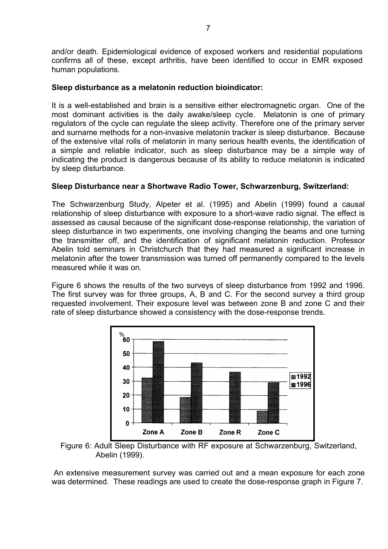and/or death. Epidemiological evidence of exposed workers and residential populations confirms all of these, except arthritis, have been identified to occur in EMR exposed human populations.

### **Sleep disturbance as a melatonin reduction bioindicator:**

It is a well-established and brain is a sensitive either electromagnetic organ. One of the most dominant activities is the daily awake/sleep cycle. Melatonin is one of primary regulators of the cycle can regulate the sleep activity. Therefore one of the primary server and surname methods for a non-invasive melatonin tracker is sleep disturbance. Because of the extensive vital rolls of melatonin in many serious health events, the identification of a simple and reliable indicator, such as sleep disturbance may be a simple way of indicating the product is dangerous because of its ability to reduce melatonin is indicated by sleep disturbance.

#### **Sleep Disturbance near a Shortwave Radio Tower, Schwarzenburg, Switzerland:**

The Schwarzenburg Study, Alpeter et al. (1995) and Abelin (1999) found a causal relationship of sleep disturbance with exposure to a short-wave radio signal. The effect is assessed as causal because of the significant dose-response relationship, the variation of sleep disturbance in two experiments, one involving changing the beams and one turning the transmitter off, and the identification of significant melatonin reduction. Professor Abelin told seminars in Christchurch that they had measured a significant increase in melatonin after the tower transmission was turned off permanently compared to the levels measured while it was on.

Figure 6 shows the results of the two surveys of sleep disturbance from 1992 and 1996. The first survey was for three groups, A, B and C. For the second survey a third group requested involvement. Their exposure level was between zone B and zone C and their rate of sleep disturbance showed a consistency with the dose-response trends.



Figure 6: Adult Sleep Disturbance with RF exposure at Schwarzenburg, Switzerland, Abelin (1999).

 An extensive measurement survey was carried out and a mean exposure for each zone was determined. These readings are used to create the dose-response graph in Figure 7.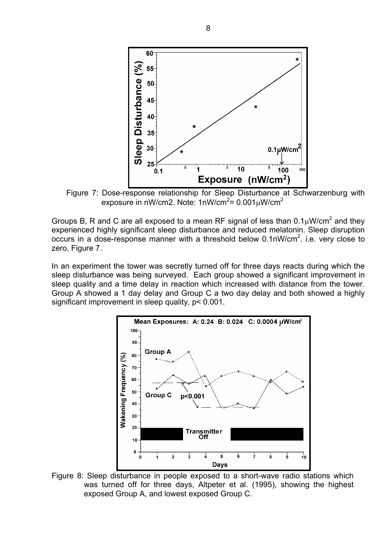

Figure 7: Dose-response relationship for Sleep Disturbance at Schwarzenburg with exposure in nW/cm2. Note: 1nW/cm<sup>2</sup>= 0.001 $\mu$ W/cm<sup>2</sup>

Groups B, R and C are all exposed to a mean RF signal of less than  $0.1 \mu$ W/cm<sup>2</sup> and they experienced highly significant sleep disturbance and reduced melatonin. Sleep disruption occurs in a dose-response manner with a threshold below  $0.1$ nW/cm<sup>2</sup>. i.e. very close to zero, Figure 7.

In an experiment the tower was secretly turned off for three days reacts during which the sleep disturbance was being surveyed. Each group showed a significant improvement in sleep quality and a time delay in reaction which increased with distance from the tower. Group A showed a 1 day delay and Group C a two day delay and both showed a highly significant improvement in sleep quality, p< 0.001.



Figure 8: Sleep disturbance in people exposed to a short-wave radio stations which was turned off for three days, Altpeter et al. (1995), showing the highest exposed Group A, and lowest exposed Group C.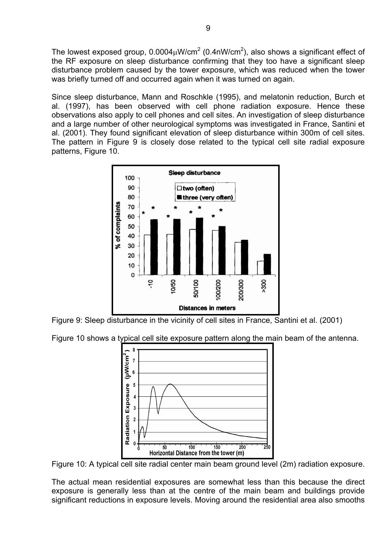The lowest exposed group, 0.0004 $\mu$ W/cm<sup>2</sup> (0.4nW/cm<sup>2</sup>), also shows a significant effect of the RF exposure on sleep disturbance confirming that they too have a significant sleep disturbance problem caused by the tower exposure, which was reduced when the tower was briefly turned off and occurred again when it was turned on again.

Since sleep disturbance, Mann and Roschkle (1995), and melatonin reduction, Burch et al. (1997), has been observed with cell phone radiation exposure. Hence these observations also apply to cell phones and cell sites. An investigation of sleep disturbance and a large number of other neurological symptoms was investigated in France, Santini et al. (2001). They found significant elevation of sleep disturbance within 300m of cell sites. The pattern in Figure 9 is closely dose related to the typical cell site radial exposure patterns, Figure 10.



Figure 9: Sleep disturbance in the vicinity of cell sites in France, Santini et al. (2001)

Figure 10 shows a typical cell site exposure pattern along the main beam of the antenna.



Figure 10: A typical cell site radial center main beam ground level (2m) radiation exposure.

The actual mean residential exposures are somewhat less than this because the direct exposure is generally less than at the centre of the main beam and buildings provide significant reductions in exposure levels. Moving around the residential area also smooths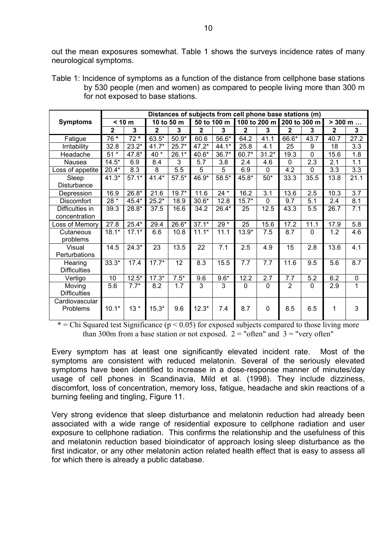out the mean exposures somewhat. Table 1 shows the surveys incidence rates of many neurological symptoms.

|                                   | Table 1: Incidence of symptoms as a function of the distance from cellphone base stations |
|-----------------------------------|-------------------------------------------------------------------------------------------|
|                                   | by 530 people (men and women) as compared to people living more than 300 m                |
| for not exposed to base stations. |                                                                                           |

|                     | Distances of subjects from cell phone base stations (m) |         |              |         |              |         |              |          |                |             |                           |           |
|---------------------|---------------------------------------------------------|---------|--------------|---------|--------------|---------|--------------|----------|----------------|-------------|---------------------------|-----------|
| <b>Symptoms</b>     | < 10 m                                                  |         | 10 to 50 m   |         | 50 to 100 m  |         | 100 to 200 m |          | 200 to 300 m   |             | $> 300 \; \text{m} \dots$ |           |
|                     | $\overline{2}$                                          | 3       | $\mathbf{2}$ | 3       | $\mathbf{2}$ | 3       | $\mathbf{2}$ | 3        | $\mathbf{2}$   | 3           | $\mathbf{2}$              | 3         |
| Fatigue             | 76 *                                                    | $72*$   | 63.5*        | $50.9*$ | 60.6         | 56.6*   | 64.2         | 41.1     | 66.6*          | 43.7        | 40.7                      | 27.2      |
| Irritability        | 32.8                                                    | $23.2*$ | $41.7*$      | $25.7*$ | $47.2*$      | 44.1*   | 25.8         | 4.1      | 25             | 9           | 18                        | 3.3       |
| Headache            | $51*$                                                   | 47.8*   | 40 *         | $26.1*$ | 40.6*        | $36.7*$ | 60.7*        | $31.2*$  | 19.3           | $\mathbf 0$ | 15.6                      | 1.8       |
| Nausea              | $14.5*$                                                 | 6.9     | 8.4          | 3       | 5.7          | 3.8     | 2.4          | 4.6      | $\mathbf{0}$   | 2.3         | 2.1                       | 1.1       |
| Loss of appetite    | $20.4*$                                                 | 8.3     | 8            | 5.5     | 5            | 5       | 6.9          | $\Omega$ | 4.2            | $\mathbf 0$ | 3.3                       | 3.3       |
| Sleep               | $41.3*$                                                 | $57.1*$ | $41.4*$      | $57.5*$ | 46.9*        | $58.5*$ | 45.8*        | $50*$    | 33.3           | 35.5        | 13.8                      | 21.1      |
| Disturbance         |                                                         |         |              |         |              |         |              |          |                |             |                           |           |
| Depression          | 16.9                                                    | $26.8*$ | 21.6         | $19.7*$ | 11.6         | $24 *$  | 16.2         | 3.1      | 13.6           | 2.5         | 10.3                      | 3.7       |
| Discomfort          | 28 *                                                    | 45.4*   | $25.2*$      | 18.9    | $30.6*$      | 12.8    | $15.7*$      | 0        | 9.7            | 5.1         | 2.4                       | 8.1       |
| Difficulties in     | 39.3                                                    | $28.8*$ | 37.5         | 16.6    | 34.2         | $26.4*$ | 25           | 12.5     | 43.3           | 5.5         | 26.7                      | 7.1       |
| concentration       |                                                         |         |              |         |              |         |              |          |                |             |                           |           |
| Loss of Memory      | 27.8                                                    | $25.4*$ | 29.4         | $26.6*$ | $37.1*$      | 29 *    | 25           | 15.6     | 17.2           | 11.1        | 17.9                      | 5.8       |
| Cutaneous           | $18.1*$                                                 | $17.1*$ | 6.6          | 10.8    | $11.1*$      | 11.1    | $13.9*$      | 7.5      | 8.7            | 0           | 1.2                       | 4.6       |
| problems            |                                                         |         |              |         |              |         |              |          |                |             |                           |           |
| Visual              | 14.5                                                    | $24.3*$ | 23           | 13.5    | 22           | 7.1     | 2.5          | 4.9      | 15             | 2.8         | 13.6                      | 4.1       |
| Perturbations       |                                                         |         |              |         |              |         |              |          |                |             |                           |           |
| Hearing             | $33.3*$                                                 | 17.4    | $17.7*$      | 12      | 8.3          | 15.5    | 7.7          | 7.7      | 11.6           | 9.5         | 5.6                       | 8.7       |
| <b>Difficulties</b> |                                                         |         |              |         |              |         |              |          |                |             |                           |           |
| Vertigo             | 10                                                      | $12.5*$ | $17.3*$      | $7.5*$  | 9.6          | $9.6*$  | 12.2         | 2.7      | 7.7            | 5.2         | 6.2                       | $\pmb{0}$ |
| Moving              | 5.6                                                     | $7.7*$  | 8.2          | 1.7     | 3            | 3       | $\mathbf{0}$ | 0        | $\overline{2}$ | 0           | 2.9                       | 1         |
| <b>Difficulties</b> |                                                         |         |              |         |              |         |              |          |                |             |                           |           |
| Cardiovascular      |                                                         |         |              |         |              |         |              |          |                |             |                           |           |
| Problems            | $10.1*$                                                 | $13*$   | $15.3*$      | 9.6     | $12.3*$      | 7.4     | 8.7          | 0        | 8.5            | 6.5         | 1                         | 3         |
|                     |                                                         |         |              |         |              |         |              |          |                |             |                           |           |

 $*$  = Chi Squared test Significance ( $p$  < 0.05) for exposed subjects compared to those living more than 300m from a base station or not exposed.  $2 =$  "often" and  $3 =$  "very often"

Every symptom has at least one significantly elevated incident rate. Most of the symptoms are consistent with reduced melatonin. Several of the seriously elevated symptoms have been identified to increase in a dose-response manner of minutes/day usage of cell phones in Scandinavia, Mild et al. (1998). They include dizziness, discomfort, loss of concentration, memory loss, fatigue, headache and skin reactions of a burning feeling and tingling, Figure 11.

Very strong evidence that sleep disturbance and melatonin reduction had already been associated with a wide range of residential exposure to cellphone radiation and user exposure to cellphone radiation. This confirms the relationship and the usefulness of this and melatonin reduction based bioindicator of approach losing sleep disturbance as the first indicator, or any other melatonin action related health effect that is easy to assess all for which there is already a public database.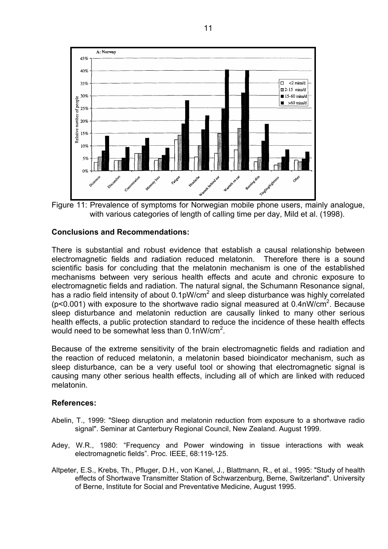

Figure 11: Prevalence of symptoms for Norwegian mobile phone users, mainly analogue, with various categories of length of calling time per day. Mild et al. (1998).

#### **Conclusions and Recommendations:**

There is substantial and robust evidence that establish a causal relationship between electromagnetic fields and radiation reduced melatonin. Therefore there is a sound scientific basis for concluding that the melatonin mechanism is one of the established mechanisms between very serious health effects and acute and chronic exposure to electromagnetic fields and radiation. The natural signal, the Schumann Resonance signal, has a radio field intensity of about  $0.1$ pW/cm<sup>2</sup> and sleep disturbance was highly correlated ( $p$ <0.001) with exposure to the shortwave radio signal measured at 0.4nW/ $cm<sup>2</sup>$ . Because sleep disturbance and melatonin reduction are causally linked to many other serious health effects, a public protection standard to reduce the incidence of these health effects would need to be somewhat less than  $0.1$ nW/cm<sup>2</sup>.

Because of the extreme sensitivity of the brain electromagnetic fields and radiation and the reaction of reduced melatonin, a melatonin based bioindicator mechanism, such as sleep disturbance, can be a very useful tool or showing that electromagnetic signal is causing many other serious health effects, including all of which are linked with reduced melatonin.

#### **References:**

- Abelin, T., 1999: "Sleep disruption and melatonin reduction from exposure to a shortwave radio signal". Seminar at Canterbury Regional Council, New Zealand. August 1999.
- Adey, W.R., 1980: "Frequency and Power windowing in tissue interactions with weak electromagnetic fields". Proc. IEEE, 68:119-125.
- Altpeter, E.S., Krebs, Th., Pfluger, D.H., von Kanel, J., Blattmann, R., et al., 1995: "Study of health effects of Shortwave Transmitter Station of Schwarzenburg, Berne, Switzerland". University of Berne, Institute for Social and Preventative Medicine, August 1995.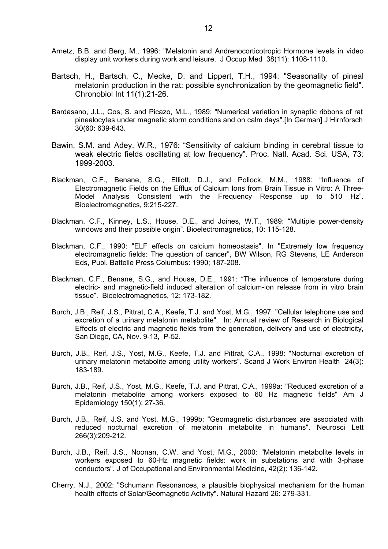- Arnetz, B.B. and Berg, M., 1996: "Melatonin and Andrenocorticotropic Hormone levels in video display unit workers during work and leisure. J Occup Med 38(11): 1108-1110.
- Bartsch, H., Bartsch, C., Mecke, D. and Lippert, T.H., 1994: "Seasonality of pineal melatonin production in the rat: possible synchronization by the geomagnetic field". Chronobiol Int 11(1):21-26.
- Bardasano, J.L., Cos, S. and Picazo, M.L., 1989: "Numerical variation in synaptic ribbons of rat pinealocytes under magnetic storm conditions and on calm days".[In German] J Hirnforsch 30(60: 639-643.
- Bawin, S.M. and Adey, W.R., 1976: "Sensitivity of calcium binding in cerebral tissue to weak electric fields oscillating at low frequency". Proc. Natl. Acad. Sci. USA, 73: 1999-2003.
- Blackman, C.F., Benane, S.G., Elliott, D.J., and Pollock, M.M., 1988: "Influence of Electromagnetic Fields on the Efflux of Calcium Ions from Brain Tissue in Vitro: A Three-Model Analysis Consistent with the Frequency Response up to 510 Hz". Bioelectromagnetics, 9:215-227.
- Blackman, C.F., Kinney, L.S., House, D.E., and Joines, W.T., 1989: "Multiple power-density windows and their possible origin". Bioelectromagnetics, 10: 115-128.
- Blackman, C.F., 1990: "ELF effects on calcium homeostasis". In "Extremely low frequency electromagnetic fields: The question of cancer", BW Wilson, RG Stevens, LE Anderson Eds, Publ. Battelle Press Columbus: 1990; 187-208.
- Blackman, C.F., Benane, S.G., and House, D.E., 1991: "The influence of temperature during electric- and magnetic-field induced alteration of calcium-ion release from in vitro brain tissue". Bioelectromagnetics, 12: 173-182.
- Burch, J.B., Reif, J.S., Pittrat, C.A., Keefe, T.J. and Yost, M.G., 1997: "Cellular telephone use and excretion of a urinary melatonin metabolite". In: Annual review of Research in Biological Effects of electric and magnetic fields from the generation, delivery and use of electricity, San Diego, CA, Nov. 9-13, P-52.
- Burch, J.B., Reif, J.S., Yost, M.G., Keefe, T.J. and Pittrat, C.A., 1998: "Nocturnal excretion of urinary melatonin metabolite among utility workers". Scand J Work Environ Health 24(3): 183-189.
- Burch, J.B., Reif, J.S., Yost, M.G., Keefe, T.J. and Pittrat, C.A., 1999a: "Reduced excretion of a melatonin metabolite among workers exposed to 60 Hz magnetic fields" Am J Epidemiology 150(1): 27-36.
- Burch, J.B., Reif, J.S. and Yost, M.G., 1999b: "Geomagnetic disturbances are associated with reduced nocturnal excretion of melatonin metabolite in humans". Neurosci Lett 266(3):209-212.
- Burch, J.B., Reif, J.S., Noonan, C.W. and Yost, M.G., 2000: "Melatonin metabolite levels in workers exposed to 60-Hz magnetic fields: work in substations and with 3-phase conductors". J of Occupational and Environmental Medicine, 42(2): 136-142.
- Cherry, N.J., 2002: "Schumann Resonances, a plausible biophysical mechanism for the human health effects of Solar/Geomagnetic Activity". Natural Hazard 26: 279-331.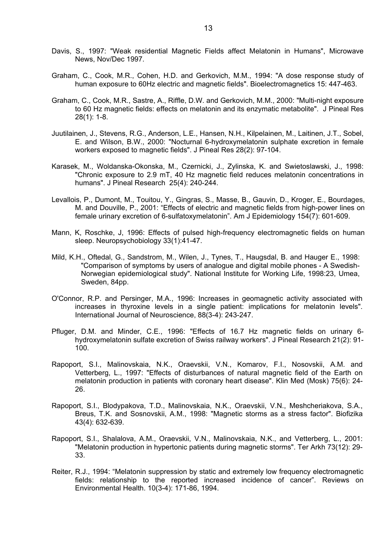- Davis, S., 1997: "Weak residential Magnetic Fields affect Melatonin in Humans", Microwave News, Nov/Dec 1997.
- Graham, C., Cook, M.R., Cohen, H.D. and Gerkovich, M.M., 1994: "A dose response study of human exposure to 60Hz electric and magnetic fields". Bioelectromagnetics 15: 447-463.
- Graham, C., Cook, M.R., Sastre, A., Riffle, D.W. and Gerkovich, M.M., 2000: "Multi-night exposure to 60 Hz magnetic fields: effects on melatonin and its enzymatic metabolite". J Pineal Res 28(1): 1-8.
- Juutilainen, J., Stevens, R.G., Anderson, L.E., Hansen, N.H., Kilpelainen, M., Laitinen, J.T., Sobel, E. and Wilson, B.W., 2000: "Nocturnal 6-hydroxymelatonin sulphate excretion in female workers exposed to magnetic fields". J Pineal Res 28(2): 97-104.
- Karasek, M., Woldanska-Okonska, M., Czernicki, J., Zylinska, K. and Swietoslawski, J., 1998: "Chronic exposure to 2.9 mT, 40 Hz magnetic field reduces melatonin concentrations in humans". J Pineal Research 25(4): 240-244.
- Levallois, P., Dumont, M., Touitou, Y., Gingras, S., Masse, B., Gauvin, D., Kroger, E., Bourdages, M. and Douville, P., 2001: "Effects of electric and magnetic fields from high-power lines on female urinary excretion of 6-sulfatoxymelatonin". Am J Epidemiology 154(7): 601-609.
- Mann, K, Roschke, J, 1996: Effects of pulsed high-frequency electromagnetic fields on human sleep. Neuropsychobiology 33(1):41-47.
- Mild, K.H., Oftedal, G., Sandstrom, M., Wilen, J., Tynes, T., Haugsdal, B. and Hauger E., 1998: "Comparison of symptoms by users of analogue and digital mobile phones - A Swedish-Norwegian epidemiological study". National Institute for Working Life, 1998:23, Umea, Sweden, 84pp.
- O'Connor, R.P. and Persinger, M.A., 1996: Increases in geomagnetic activity associated with increases in thyroxine levels in a single patient: implications for melatonin levels". International Journal of Neuroscience, 88(3-4): 243-247.
- Pfluger, D.M. and Minder, C.E., 1996: "Effects of 16.7 Hz magnetic fields on urinary 6 hydroxymelatonin sulfate excretion of Swiss railway workers". J Pineal Research 21(2): 91- 100.
- Rapoport, S.I., Malinovskaia, N.K., Oraevskii, V.N., Komarov, F.I., Nosovskii, A.M. and Vetterberg, L., 1997: "Effects of disturbances of natural magnetic field of the Earth on melatonin production in patients with coronary heart disease". Klin Med (Mosk) 75(6): 24- 26.
- Rapoport, S.I., Blodypakova, T.D., Malinovskaia, N.K., Oraevskii, V.N., Meshcheriakova, S.A., Breus, T.K. and Sosnovskii, A.M., 1998: "Magnetic storms as a stress factor". Biofizika 43(4): 632-639.
- Rapoport, S.I., Shalalova, A.M., Oraevskii, V.N., Malinovskaia, N.K., and Vetterberg, L., 2001: "Melatonin production in hypertonic patients during magnetic storms". Ter Arkh 73(12): 29- 33.
- Reiter, R.J., 1994: "Melatonin suppression by static and extremely low frequency electromagnetic fields: relationship to the reported increased incidence of cancer". Reviews on Environmental Health. 10(3-4): 171-86, 1994.